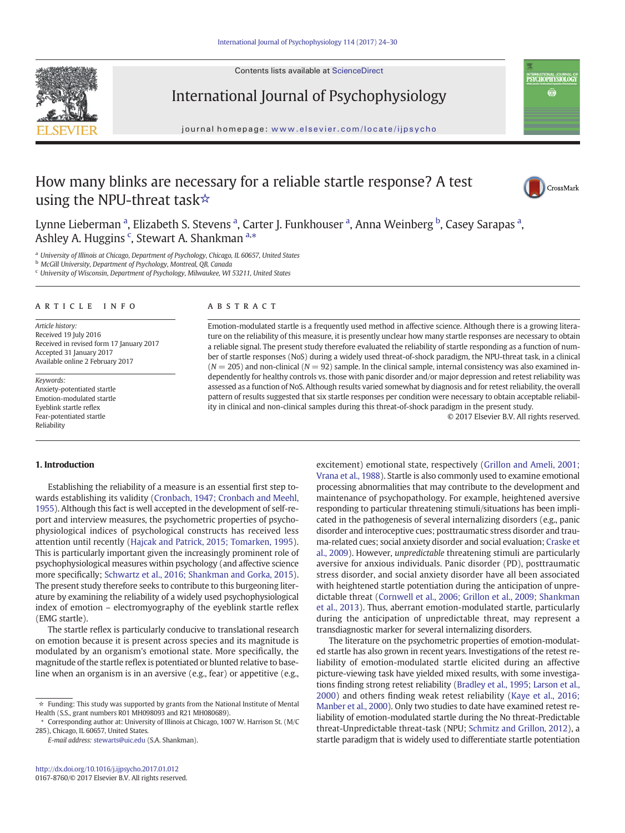Contents lists available at ScienceDirect



International Journal of Psychophysiology

journal homepage: <www.elsevier.com/locate/ijpsycho>

# How many blinks are necessary for a reliable startle response? A test using the NPU-threat task☆



INTERNATIONAL JOURNAL O<br>**PSYCHOPHYSIOLOGY** Ġ.

Lynne Lieberman <sup>a</sup>, Elizabeth S. Stevens <sup>a</sup>, Carter J. Funkhouser <sup>a</sup>, Anna Weinberg <sup>b</sup>, Casey Sarapas <sup>a</sup>, Ashley A. Huggins<sup>c</sup>, Stewart A. Shankman a,\*

a University of Illinois at Chicago, Department of Psychology, Chicago, IL 60657, United States

**b** McGill University, Department of Psychology, Montreal, QB, Canada

 $c$  University of Wisconsin, Department of Psychology, Milwaukee, WI 53211, United States

# ARTICLE INFO ABSTRACT

Article history: Received 19 July 2016 Received in revised form 17 January 2017 Accepted 31 January 2017 Available online 2 February 2017

Keywords: Anxiety-potentiated startle Emotion-modulated startle Eyeblink startle reflex Fear-potentiated startle Reliability

Emotion-modulated startle is a frequently used method in affective science. Although there is a growing literature on the reliability of this measure, it is presently unclear how many startle responses are necessary to obtain a reliable signal. The present study therefore evaluated the reliability of startle responding as a function of number of startle responses (NoS) during a widely used threat-of-shock paradigm, the NPU-threat task, in a clinical  $(N = 205)$  and non-clinical  $(N = 92)$  sample. In the clinical sample, internal consistency was also examined independently for healthy controls vs. those with panic disorder and/or major depression and retest reliability was assessed as a function of NoS. Although results varied somewhat by diagnosis and for retest reliability, the overall pattern of results suggested that six startle responses per condition were necessary to obtain acceptable reliability in clinical and non-clinical samples during this threat-of-shock paradigm in the present study.

© 2017 Elsevier B.V. All rights reserved.

### 1. Introduction

Establishing the reliability of a measure is an essential first step towards establishing its validity [\(Cronbach, 1947; Cronbach and Meehl,](#page-6-0) [1955\)](#page-6-0). Although this fact is well accepted in the development of self-report and interview measures, the psychometric properties of psychophysiological indices of psychological constructs has received less attention until recently ([Hajcak and Patrick, 2015; Tomarken, 1995](#page-6-0)). This is particularly important given the increasingly prominent role of psychophysiological measures within psychology (and affective science more specifically; [Schwartz et al., 2016; Shankman and Gorka, 2015](#page-6-0)). The present study therefore seeks to contribute to this burgeoning literature by examining the reliability of a widely used psychophysiological index of emotion – electromyography of the eyeblink startle reflex (EMG startle).

The startle reflex is particularly conducive to translational research on emotion because it is present across species and its magnitude is modulated by an organism's emotional state. More specifically, the magnitude of the startle reflex is potentiated or blunted relative to baseline when an organism is in an aversive (e.g., fear) or appetitive (e.g.,

E-mail address: [stewarts@uic.edu](mailto:stewarts@uic.edu) (S.A. Shankman).

excitement) emotional state, respectively [\(Grillon and Ameli, 2001;](#page-6-0) [Vrana et al., 1988](#page-6-0)). Startle is also commonly used to examine emotional processing abnormalities that may contribute to the development and maintenance of psychopathology. For example, heightened aversive responding to particular threatening stimuli/situations has been implicated in the pathogenesis of several internalizing disorders (e.g., panic disorder and interoceptive cues; posttraumatic stress disorder and trauma-related cues; social anxiety disorder and social evaluation; [Craske et](#page-6-0) [al., 2009\)](#page-6-0). However, unpredictable threatening stimuli are particularly aversive for anxious individuals. Panic disorder (PD), posttraumatic stress disorder, and social anxiety disorder have all been associated with heightened startle potentiation during the anticipation of unpredictable threat [\(Cornwell et al., 2006; Grillon et al., 2009; Shankman](#page-6-0) [et al., 2013](#page-6-0)). Thus, aberrant emotion-modulated startle, particularly during the anticipation of unpredictable threat, may represent a transdiagnostic marker for several internalizing disorders.

The literature on the psychometric properties of emotion-modulated startle has also grown in recent years. Investigations of the retest reliability of emotion-modulated startle elicited during an affective picture-viewing task have yielded mixed results, with some investigations finding strong retest reliability ([Bradley et al., 1995; Larson et al.,](#page-6-0) [2000](#page-6-0)) and others finding weak retest reliability [\(Kaye et al., 2016;](#page-6-0) [Manber et al., 2000](#page-6-0)). Only two studies to date have examined retest reliability of emotion-modulated startle during the No threat-Predictable threat-Unpredictable threat-task (NPU; [Schmitz and Grillon, 2012](#page-6-0)), a startle paradigm that is widely used to differentiate startle potentiation

<sup>☆</sup> Funding: This study was supported by grants from the National Institute of Mental Health (S.S., grant numbers R01 MH098093 and R21 MH080689).

<sup>⁎</sup> Corresponding author at: University of Illinois at Chicago, 1007 W. Harrison St. (M/C 285), Chicago, IL 60657, United States.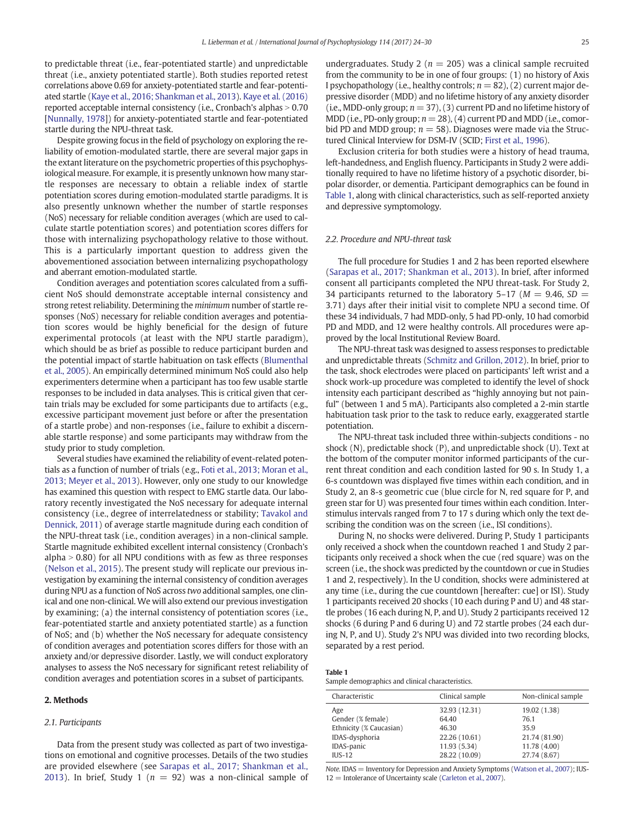to predictable threat (i.e., fear-potentiated startle) and unpredictable threat (i.e., anxiety potentiated startle). Both studies reported retest correlations above 0.69 for anxiety-potentiated startle and fear-potentiated startle [\(Kaye et al., 2016; Shankman et al., 2013\)](#page-6-0). [Kaye et al. \(2016\)](#page-6-0) reported acceptable internal consistency (i.e., Cronbach's alphas  $> 0.70$ [\[Nunnally, 1978](#page-6-0)]) for anxiety-potentiated startle and fear-potentiated startle during the NPU-threat task.

Despite growing focus in the field of psychology on exploring the reliability of emotion-modulated startle, there are several major gaps in the extant literature on the psychometric properties of this psychophysiological measure. For example, it is presently unknown how many startle responses are necessary to obtain a reliable index of startle potentiation scores during emotion-modulated startle paradigms. It is also presently unknown whether the number of startle responses (NoS) necessary for reliable condition averages (which are used to calculate startle potentiation scores) and potentiation scores differs for those with internalizing psychopathology relative to those without. This is a particularly important question to address given the abovementioned association between internalizing psychopathology and aberrant emotion-modulated startle.

Condition averages and potentiation scores calculated from a sufficient NoS should demonstrate acceptable internal consistency and strong retest reliability. Determining the minimum number of startle responses (NoS) necessary for reliable condition averages and potentiation scores would be highly beneficial for the design of future experimental protocols (at least with the NPU startle paradigm), which should be as brief as possible to reduce participant burden and the potential impact of startle habituation on task effects [\(Blumenthal](#page-6-0) [et al., 2005](#page-6-0)). An empirically determined minimum NoS could also help experimenters determine when a participant has too few usable startle responses to be included in data analyses. This is critical given that certain trials may be excluded for some participants due to artifacts (e.g., excessive participant movement just before or after the presentation of a startle probe) and non-responses (i.e., failure to exhibit a discernable startle response) and some participants may withdraw from the study prior to study completion.

Several studies have examined the reliability of event-related potentials as a function of number of trials (e.g., [Foti et al., 2013; Moran et al.,](#page-6-0) [2013; Meyer et al., 2013\)](#page-6-0). However, only one study to our knowledge has examined this question with respect to EMG startle data. Our laboratory recently investigated the NoS necessary for adequate internal consistency (i.e., degree of interrelatedness or stability; [Tavakol and](#page-6-0) [Dennick, 2011](#page-6-0)) of average startle magnitude during each condition of the NPU-threat task (i.e., condition averages) in a non-clinical sample. Startle magnitude exhibited excellent internal consistency (Cronbach's alpha  $> 0.80$ ) for all NPU conditions with as few as three responses [\(Nelson et al., 2015](#page-6-0)). The present study will replicate our previous investigation by examining the internal consistency of condition averages during NPU as a function of NoS across two additional samples, one clinical and one non-clinical. We will also extend our previous investigation by examining; (a) the internal consistency of potentiation scores (i.e., fear-potentiated startle and anxiety potentiated startle) as a function of NoS; and (b) whether the NoS necessary for adequate consistency of condition averages and potentiation scores differs for those with an anxiety and/or depressive disorder. Lastly, we will conduct exploratory analyses to assess the NoS necessary for significant retest reliability of condition averages and potentiation scores in a subset of participants.

# 2. Methods

# 2.1. Participants

Data from the present study was collected as part of two investigations on emotional and cognitive processes. Details of the two studies are provided elsewhere (see [Sarapas et al., 2017; Shankman et al.,](#page-6-0) [2013\)](#page-6-0). In brief, Study 1 ( $n = 92$ ) was a non-clinical sample of undergraduates. Study 2 ( $n = 205$ ) was a clinical sample recruited from the community to be in one of four groups: (1) no history of Axis I psychopathology (i.e., healthy controls;  $n = 82$ ), (2) current major depressive disorder (MDD) and no lifetime history of any anxiety disorder (i.e., MDD-only group;  $n = 37$ ), (3) current PD and no lifetime history of MDD (i.e., PD-only group;  $n = 28$ ), (4) current PD and MDD (i.e., comorbid PD and MDD group;  $n = 58$ ). Diagnoses were made via the Structured Clinical Interview for DSM-IV (SCID; [First et al., 1996\)](#page-6-0).

Exclusion criteria for both studies were a history of head trauma, left-handedness, and English fluency. Participants in Study 2 were additionally required to have no lifetime history of a psychotic disorder, bipolar disorder, or dementia. Participant demographics can be found in Table 1, along with clinical characteristics, such as self-reported anxiety and depressive symptomology.

### 2.2. Procedure and NPU-threat task

The full procedure for Studies 1 and 2 has been reported elsewhere [\(Sarapas et al., 2017; Shankman et al., 2013](#page-6-0)). In brief, after informed consent all participants completed the NPU threat-task. For Study 2, 34 participants returned to the laboratory 5–17 ( $M = 9.46$ , SD = 3.71) days after their initial visit to complete NPU a second time. Of these 34 individuals, 7 had MDD-only, 5 had PD-only, 10 had comorbid PD and MDD, and 12 were healthy controls. All procedures were approved by the local Institutional Review Board.

The NPU-threat task was designed to assess responses to predictable and unpredictable threats [\(Schmitz and Grillon, 2012\)](#page-6-0). In brief, prior to the task, shock electrodes were placed on participants' left wrist and a shock work-up procedure was completed to identify the level of shock intensity each participant described as "highly annoying but not painful" (between 1 and 5 mA). Participants also completed a 2-min startle habituation task prior to the task to reduce early, exaggerated startle potentiation.

The NPU-threat task included three within-subjects conditions - no shock (N), predictable shock (P), and unpredictable shock (U). Text at the bottom of the computer monitor informed participants of the current threat condition and each condition lasted for 90 s. In Study 1, a 6-s countdown was displayed five times within each condition, and in Study 2, an 8-s geometric cue (blue circle for N, red square for P, and green star for U) was presented four times within each condition. Interstimulus intervals ranged from 7 to 17 s during which only the text describing the condition was on the screen (i.e., ISI conditions).

During N, no shocks were delivered. During P, Study 1 participants only received a shock when the countdown reached 1 and Study 2 participants only received a shock when the cue (red square) was on the screen (i.e., the shock was predicted by the countdown or cue in Studies 1 and 2, respectively). In the U condition, shocks were administered at any time (i.e., during the cue countdown [hereafter: cue] or ISI). Study 1 participants received 20 shocks (10 each during P and U) and 48 startle probes (16 each during N, P, and U). Study 2 participants received 12 shocks (6 during P and 6 during U) and 72 startle probes (24 each during N, P, and U). Study 2's NPU was divided into two recording blocks, separated by a rest period.

# Table 1

Sample demographics and clinical characteristics.

| Characteristic          | Clinical sample | Non-clinical sample |
|-------------------------|-----------------|---------------------|
| Age                     | 32.93 (12.31)   | 19.02 (1.38)        |
| Gender (% female)       | 64.40           | 76.1                |
| Ethnicity (% Caucasian) | 46.30           | 35.9                |
| IDAS-dysphoria          | 22.26 (10.61)   | 21.74 (81.90)       |
| IDAS-panic              | 11.93 (5.34)    | 11.78 (4.00)        |
| $IUS-12$                | 28.22 (10.09)   | 27.74 (8.67)        |

Note. IDAS = Inventory for Depression and Anxiety Symptoms ([Watson et al., 2007](#page-6-0)); IUS- $12 =$  Intolerance of Uncertainty scale [\(Carleton et al., 2007](#page-6-0)).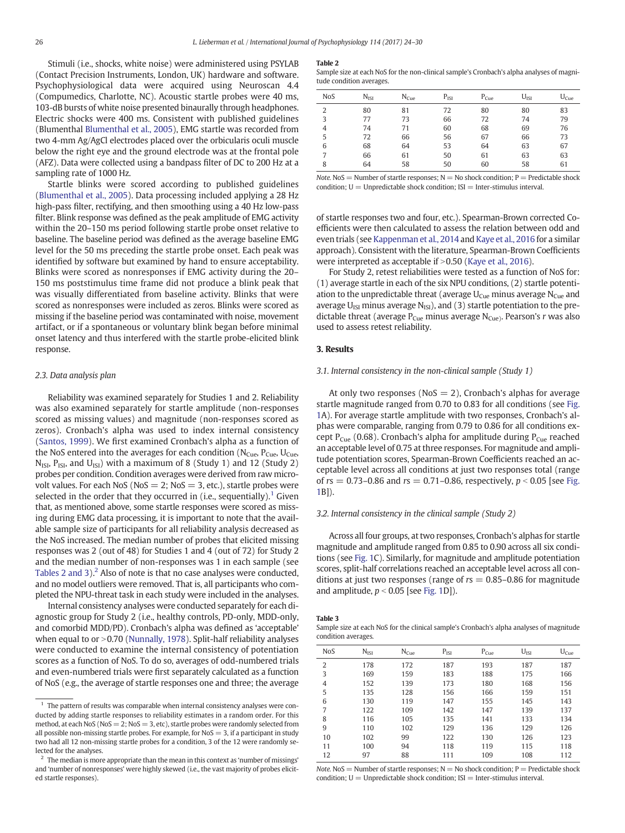Stimuli (i.e., shocks, white noise) were administered using PSYLAB (Contact Precision Instruments, London, UK) hardware and software. Psychophysiological data were acquired using Neuroscan 4.4 (Compumedics, Charlotte, NC). Acoustic startle probes were 40 ms, 103-dB bursts of white noise presented binaurally through headphones. Electric shocks were 400 ms. Consistent with published guidelines (Blumenthal [Blumenthal et al., 2005\)](#page-6-0), EMG startle was recorded from two 4-mm Ag/AgCl electrodes placed over the orbicularis oculi muscle below the right eye and the ground electrode was at the frontal pole (AFZ). Data were collected using a bandpass filter of DC to 200 Hz at a sampling rate of 1000 Hz.

Startle blinks were scored according to published guidelines [\(Blumenthal et al., 2005\)](#page-6-0). Data processing included applying a 28 Hz high-pass filter, rectifying, and then smoothing using a 40 Hz low-pass filter. Blink response was defined as the peak amplitude of EMG activity within the 20–150 ms period following startle probe onset relative to baseline. The baseline period was defined as the average baseline EMG level for the 50 ms preceding the startle probe onset. Each peak was identified by software but examined by hand to ensure acceptability. Blinks were scored as nonresponses if EMG activity during the 20– 150 ms poststimulus time frame did not produce a blink peak that was visually differentiated from baseline activity. Blinks that were scored as nonresponses were included as zeros. Blinks were scored as missing if the baseline period was contaminated with noise, movement artifact, or if a spontaneous or voluntary blink began before minimal onset latency and thus interfered with the startle probe-elicited blink response.

# 2.3. Data analysis plan

Reliability was examined separately for Studies 1 and 2. Reliability was also examined separately for startle amplitude (non-responses scored as missing values) and magnitude (non-responses scored as zeros). Cronbach's alpha was used to index internal consistency [\(Santos, 1999](#page-6-0)). We first examined Cronbach's alpha as a function of the NoS entered into the averages for each condition ( $N_{\text{Cue}}$ ,  $P_{\text{Cue}}$ ,  $U_{\text{Cue}}$ ,  $N_{ISI}$ ,  $P_{ISI}$ , and  $U_{ISI}$ ) with a maximum of 8 (Study 1) and 12 (Study 2) probes per condition. Condition averages were derived from raw microvolt values. For each NoS ( $NoS = 2$ ;  $NoS = 3$ , etc.), startle probes were selected in the order that they occurred in (i.e., sequentially).<sup>1</sup> Given that, as mentioned above, some startle responses were scored as missing during EMG data processing, it is important to note that the available sample size of participants for all reliability analysis decreased as the NoS increased. The median number of probes that elicited missing responses was 2 (out of 48) for Studies 1 and 4 (out of 72) for Study 2 and the median number of non-responses was 1 in each sample (see Tables 2 and 3). $<sup>2</sup>$  Also of note is that no case analyses were conducted,</sup> and no model outliers were removed. That is, all participants who completed the NPU-threat task in each study were included in the analyses.

Internal consistency analyses were conducted separately for each diagnostic group for Study 2 (i.e., healthy controls, PD-only, MDD-only, and comorbid MDD/PD). Cronbach's alpha was defined as 'acceptable' when equal to or  $>$  0.70 ([Nunnally, 1978\)](#page-6-0). Split-half reliability analyses were conducted to examine the internal consistency of potentiation scores as a function of NoS. To do so, averages of odd-numbered trials and even-numbered trials were first separately calculated as a function of NoS (e.g., the average of startle responses one and three; the average

#### Table 2

Sample size at each NoS for the non-clinical sample's Cronbach's alpha analyses of magnitude condition averages.

| NoS | $N_{ISI}$ | $N_{Cue}$ | $P_{ISI}$ | $P_{Cue}$ | U <sub>ISI</sub> | $U_{Cue}$ |
|-----|-----------|-----------|-----------|-----------|------------------|-----------|
| 2   | 80        | 81        | 72        | 80        | 80               | 83        |
| 3   | 77        | 73        | 66        | 72        | 74               | 79        |
| 4   | 74        | 71        | 60        | 68        | 69               | 76        |
| 5   | 72        | 66        | 56        | 67        | 66               | 73        |
| 6   | 68        | 64        | 53        | 64        | 63               | 67        |
|     | 66        | 61        | 50        | 61        | 63               | 63        |
| 8   | 64        | 58        | 50        | 60        | 58               | 61        |

Note. NoS = Number of startle responses;  $N = No$  shock condition;  $P = Predictable$  shock condition;  $U =$  Unpredictable shock condition;  $ISI =$  Inter-stimulus interval.

of startle responses two and four, etc.). Spearman-Brown corrected Coefficients were then calculated to assess the relation between odd and even trials (see [Kappenman et al., 2014](#page-6-0) and [Kaye et al., 2016](#page-6-0) for a similar approach). Consistent with the literature, Spearman-Brown Coefficients were interpreted as acceptable if  $>0.50$  ([Kaye et al., 2016\)](#page-6-0).

For Study 2, retest reliabilities were tested as a function of NoS for: (1) average startle in each of the six NPU conditions, (2) startle potentiation to the unpredictable threat (average  $U_{\text{Cue}}$  minus average  $N_{\text{Cue}}$  and average  $U_{ISI}$  minus average  $N_{ISI}$ ), and (3) startle potentiation to the predictable threat (average  $P_{\text{Cue}}$  minus average  $N_{\text{Cue}}$ ). Pearson's r was also used to assess retest reliability.

# 3. Results

# 3.1. Internal consistency in the non-clinical sample (Study 1)

At only two responses ( $NoS = 2$ ), Cronbach's alphas for average startle magnitude ranged from 0.70 to 0.83 for all conditions (see [Fig.](#page-3-0) [1](#page-3-0)A). For average startle amplitude with two responses, Cronbach's alphas were comparable, ranging from 0.79 to 0.86 for all conditions except  $P_{Cue}$  (0.68). Cronbach's alpha for amplitude during  $P_{Cue}$  reached an acceptable level of 0.75 at three responses. For magnitude and amplitude potentiation scores, Spearman-Brown Coefficients reached an acceptable level across all conditions at just two responses total (range of  $rs = 0.73 - 0.86$  and  $rs = 0.71 - 0.86$ , respectively,  $p < 0.05$  [see [Fig.](#page-3-0) [1](#page-3-0)B]).

# 3.2. Internal consistency in the clinical sample (Study 2)

Across all four groups, at two responses, Cronbach's alphas for startle magnitude and amplitude ranged from 0.85 to 0.90 across all six conditions (see [Fig. 1](#page-3-0)C). Similarly, for magnitude and amplitude potentiation scores, split-half correlations reached an acceptable level across all conditions at just two responses (range of  $rs = 0.85 - 0.86$  for magnitude and amplitude,  $p < 0.05$  [see [Fig. 1D](#page-3-0)]).

#### Table 3

Sample size at each NoS for the clinical sample's Cronbach's alpha analyses of magnitude condition averages.

| <b>NoS</b> | $N_{ISI}$ | $N_{Cue}$ | $P_{ISI}$ | $P_{Cue}$ | U <sub>ISI</sub> | $U_{Cue}$ |
|------------|-----------|-----------|-----------|-----------|------------------|-----------|
| 2          | 178       | 172       | 187       | 193       | 187              | 187       |
| 3          | 169       | 159       | 183       | 188       | 175              | 166       |
| 4          | 152       | 139       | 173       | 180       | 168              | 156       |
| 5          | 135       | 128       | 156       | 166       | 159              | 151       |
| 6          | 130       | 119       | 147       | 155       | 145              | 143       |
| 7          | 122       | 109       | 142       | 147       | 139              | 137       |
| 8          | 116       | 105       | 135       | 141       | 133              | 134       |
| 9          | 110       | 102       | 129       | 136       | 129              | 126       |
| 10         | 102       | 99        | 122       | 130       | 126              | 123       |
| 11         | 100       | 94        | 118       | 119       | 115              | 118       |
| 12         | 97        | 88        | 111       | 109       | 108              | 112       |

Note. NoS = Number of startle responses;  $N = No$  shock condition;  $P = Predictable$  shock condition;  $U =$  Unpredictable shock condition;  $ISI =$  Inter-stimulus interval.

 $1$  The pattern of results was comparable when internal consistency analyses were conducted by adding startle responses to reliability estimates in a random order. For this method, at each NoS ( $NoS = 2$ ;  $NoS = 3$ , etc), startle probes were randomly selected from all possible non-missing startle probes. For example, for  $NoS = 3$ , if a participant in study two had all 12 non-missing startle probes for a condition, 3 of the 12 were randomly selected for the analyses.

 $2$  The median is more appropriate than the mean in this context as 'number of missings' and 'number of nonresponses' were highly skewed (i.e., the vast majority of probes elicited startle responses).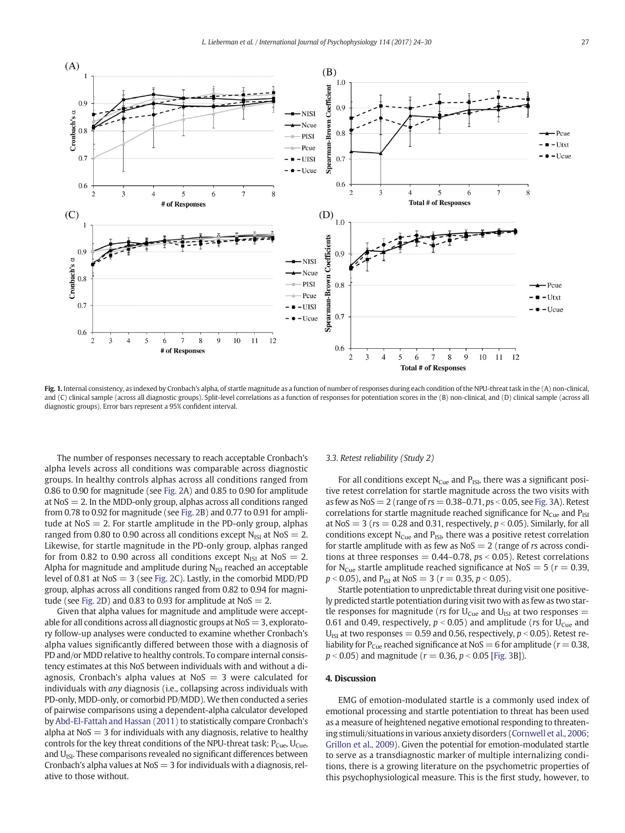<span id="page-3-0"></span>

Fig. 1. Internal consistency, as indexed by Cronbach's alpha, of startle magnitude as a function of number of responses during each condition of the NPU-threat task in the (A) non-clinical, and (C) clinical sample (across all diagnostic groups). Split-level correlations as a function of responses for potentiation scores in the (B) non-clinical, and (D) clinical sample (across all diagnostic groups). Error bars represent a 95% confident interval.

The number of responses necessary to reach acceptable Cronbach's alpha levels across all conditions was comparable across diagnostic groups. In healthy controls alphas across all conditions ranged from 0.86 to 0.90 for magnitude (see [Fig. 2A](#page-4-0)) and 0.85 to 0.90 for amplitude at NoS = 2. In the MDD-only group, alphas across all conditions ranged from 0.78 to 0.92 for magnitude (see [Fig. 2B](#page-4-0)) and 0.77 to 0.91 for amplitude at  $NoS = 2$ . For startle amplitude in the PD-only group, alphas ranged from 0.80 to 0.90 across all conditions except  $N_{ISI}$  at NoS = 2. Likewise, for startle magnitude in the PD-only group, alphas ranged for from 0.82 to 0.90 across all conditions except  $N_{\text{ISI}}$  at NoS = 2. Alpha for magnitude and amplitude during  $N_{ISI}$  reached an acceptable level of 0.81 at NoS = 3 (see [Fig. 2](#page-4-0)C). Lastly, in the comorbid MDD/PD group, alphas across all conditions ranged from 0.82 to 0.94 for magni-tude (see [Fig. 2](#page-4-0)D) and 0.83 to 0.93 for amplitude at  $NoS = 2$ .

Given that alpha values for magnitude and amplitude were acceptable for all conditions across all diagnostic groups at  $NoS = 3$ , exploratory follow-up analyses were conducted to examine whether Cronbach's alpha values significantly differed between those with a diagnosis of PD and/or MDD relative to healthy controls. To compare internal consistency estimates at this NoS between individuals with and without a diagnosis, Cronbach's alpha values at  $NoS = 3$  were calculated for individuals with any diagnosis (i.e., collapsing across individuals with PD-only, MDD-only, or comorbid PD/MDD). We then conducted a series of pairwise comparisons using a dependent-alpha calculator developed by [Abd-El-Fattah and Hassan \(2011\)](#page-6-0) to statistically compare Cronbach's alpha at  $NoS = 3$  for individuals with any diagnosis, relative to healthy controls for the key threat conditions of the NPU-threat task:  $P_{Cue}$ , U<sub>Cue</sub>, and U<sub>ISI</sub>. These comparisons revealed no significant differences between Cronbach's alpha values at  $NoS = 3$  for individuals with a diagnosis, relative to those without.

# 3.3. Retest reliability (Study 2)

For all conditions except  $N_{C_{116}}$  and  $P_{151}$ , there was a significant positive retest correlation for startle magnitude across the two visits with as few as  $NoS = 2$  (range of  $rs = 0.38 - 0.71$ ,  $ps < 0.05$ , see [Fig. 3A](#page-4-0)). Retest correlations for startle magnitude reached significance for  $N_{Cue}$  and  $P_{ISI}$ at NoS = 3 ( $rs = 0.28$  and 0.31, respectively,  $p < 0.05$ ). Similarly, for all conditions except  $N_{Cue}$  and  $P_{IS}$ , there was a positive retest correlation for startle amplitude with as few as  $NoS = 2$  (range of rs across conditions at three responses  $= 0.44$ –0.78, ps < 0.05). Retest correlations for N<sub>Cue</sub> startle amplitude reached significance at NoS = 5 ( $r = 0.39$ ,  $p < 0.05$ ), and P<sub>ISI</sub> at NoS = 3 ( $r = 0.35$ ,  $p < 0.05$ ).

Startle potentiation to unpredictable threat during visit one positively predicted startle potentiation during visit two with as few as two startle responses for magnitude (rs for  $U_{\text{Cue}}$  and  $U_{\text{ISI}}$  at two responses = 0.61 and 0.49, respectively,  $p < 0.05$ ) and amplitude (rs for U<sub>Cue</sub> and  $U<sub>ISI</sub>$  at two responses  $= 0.59$  and 0.56, respectively,  $p < 0.05$ ). Retest reliability for P<sub>Cue</sub> reached significance at NoS = 6 for amplitude ( $r = 0.38$ ,  $p < 0.05$ ) and magnitude ( $r = 0.36$ ,  $p < 0.05$  [[Fig. 3](#page-4-0)B]).

# 4. Discussion

EMG of emotion-modulated startle is a commonly used index of emotional processing and startle potentiation to threat has been used as a measure of heightened negative emotional responding to threatening stimuli/situations in various anxiety disorders [\(Cornwell et al., 2006;](#page-6-0) [Grillon et al., 2009\)](#page-6-0). Given the potential for emotion-modulated startle to serve as a transdiagnostic marker of multiple internalizing conditions, there is a growing literature on the psychometric properties of this psychophysiological measure. This is the first study, however, to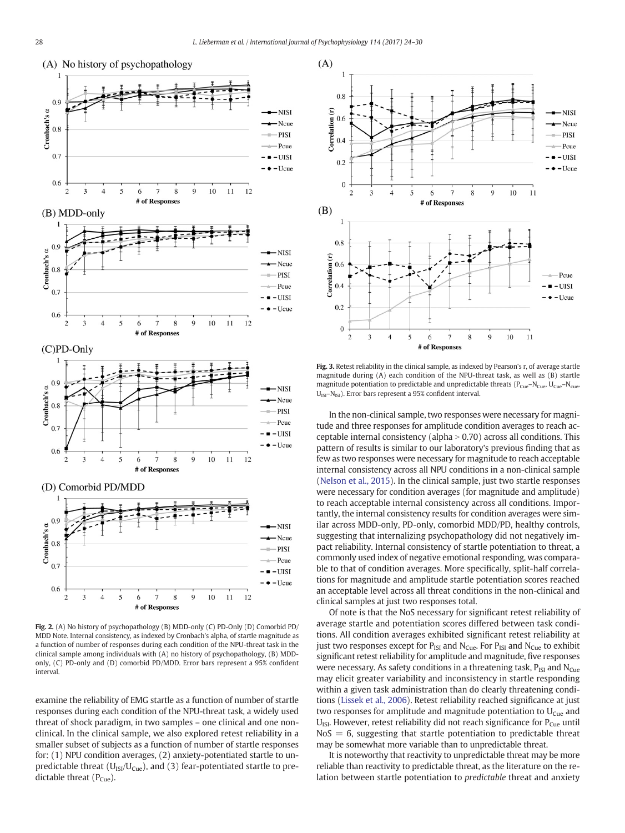<span id="page-4-0"></span>

Fig. 2. (A) No history of psychopathology (B) MDD-only (C) PD-Only (D) Comorbid PD/ MDD Note. Internal consistency, as indexed by Cronbach's alpha, of startle magnitude as a function of number of responses during each condition of the NPU-threat task in the clinical sample among individuals with (A) no history of psychopathology, (B) MDDonly, (C) PD-only and (D) comorbid PD/MDD. Error bars represent a 95% confident interval.

examine the reliability of EMG startle as a function of number of startle responses during each condition of the NPU-threat task, a widely used threat of shock paradigm, in two samples – one clinical and one nonclinical. In the clinical sample, we also explored retest reliability in a smaller subset of subjects as a function of number of startle responses for: (1) NPU condition averages, (2) anxiety-potentiated startle to unpredictable threat ( $U_{ISI}/U_{Cue}$ ), and (3) fear-potentiated startle to predictable threat  $(P<sub>CUP</sub>)$ .



Fig. 3. Retest reliability in the clinical sample, as indexed by Pearson's r, of average startle magnitude during (A) each condition of the NPU-threat task, as well as (B) startle magnitude potentiation to predictable and unpredictable threats ( $P_{Cue}$ – $N_{Cue}$ , U<sub>Cue</sub>– $N_{cue}$ , U<sub>ISI</sub>-N<sub>ISI</sub>). Error bars represent a 95% confident interval.

In the non-clinical sample, two responses were necessary for magnitude and three responses for amplitude condition averages to reach acceptable internal consistency (alpha  $> 0.70$ ) across all conditions. This pattern of results is similar to our laboratory's previous finding that as few as two responses were necessary for magnitude to reach acceptable internal consistency across all NPU conditions in a non-clinical sample [\(Nelson et al., 2015\)](#page-6-0). In the clinical sample, just two startle responses were necessary for condition averages (for magnitude and amplitude) to reach acceptable internal consistency across all conditions. Importantly, the internal consistency results for condition averages were similar across MDD-only, PD-only, comorbid MDD/PD, healthy controls, suggesting that internalizing psychopathology did not negatively impact reliability. Internal consistency of startle potentiation to threat, a commonly used index of negative emotional responding, was comparable to that of condition averages. More specifically, split-half correlations for magnitude and amplitude startle potentiation scores reached an acceptable level across all threat conditions in the non-clinical and clinical samples at just two responses total.

Of note is that the NoS necessary for significant retest reliability of average startle and potentiation scores differed between task conditions. All condition averages exhibited significant retest reliability at just two responses except for  $P_{ISI}$  and  $N_{Cue}$ . For  $P_{ISI}$  and  $N_{Cue}$  to exhibit significant retest reliability for amplitude and magnitude, five responses were necessary. As safety conditions in a threatening task,  $P_{ISI}$  and  $N_{Cue}$ may elicit greater variability and inconsistency in startle responding within a given task administration than do clearly threatening conditions [\(Lissek et al., 2006\)](#page-6-0). Retest reliability reached significance at just two responses for amplitude and magnitude potentiation to  $U_{C_{11}}$  and  $U<sub>ISI</sub>$ . However, retest reliability did not reach significance for  $P<sub>Cue</sub>$  until  $NoS = 6$ , suggesting that startle potentiation to predictable threat may be somewhat more variable than to unpredictable threat.

It is noteworthy that reactivity to unpredictable threat may be more reliable than reactivity to predictable threat, as the literature on the relation between startle potentiation to predictable threat and anxiety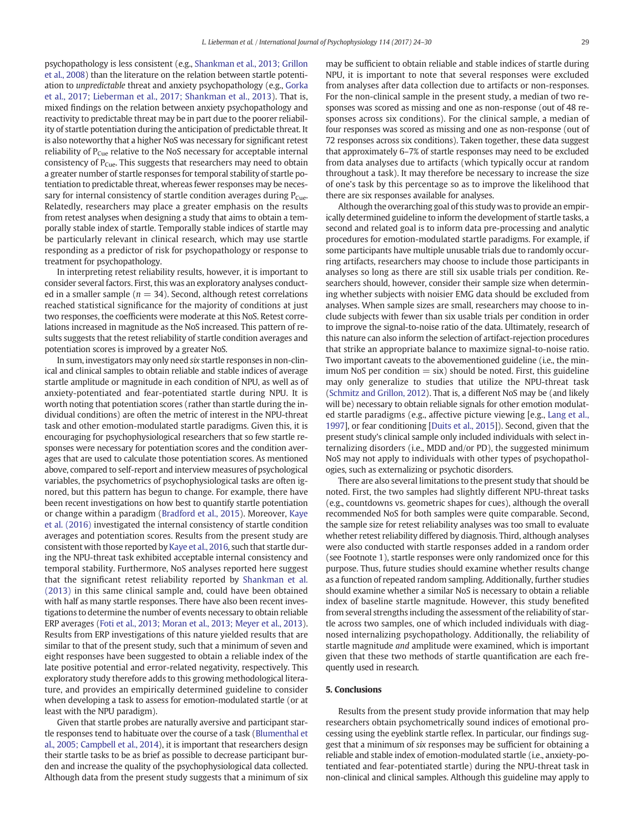psychopathology is less consistent (e.g., [Shankman et al., 2013; Grillon](#page-6-0) [et al., 2008\)](#page-6-0) than the literature on the relation between startle potentiation to unpredictable threat and anxiety psychopathology (e.g., [Gorka](#page-6-0) [et al., 2017; Lieberman et al., 2017; Shankman et al., 2013\)](#page-6-0). That is, mixed findings on the relation between anxiety psychopathology and reactivity to predictable threat may be in part due to the poorer reliability of startle potentiation during the anticipation of predictable threat. It is also noteworthy that a higher NoS was necessary for significant retest reliability of  $P_{Cue}$  relative to the NoS necessary for acceptable internal consistency of  $P_{CUP}$ . This suggests that researchers may need to obtain a greater number of startle responses for temporal stability of startle potentiation to predictable threat, whereas fewer responses may be necessary for internal consistency of startle condition averages during  $P_{\text{Cue}}$ . Relatedly, researchers may place a greater emphasis on the results from retest analyses when designing a study that aims to obtain a temporally stable index of startle. Temporally stable indices of startle may be particularly relevant in clinical research, which may use startle responding as a predictor of risk for psychopathology or response to treatment for psychopathology.

In interpreting retest reliability results, however, it is important to consider several factors. First, this was an exploratory analyses conducted in a smaller sample ( $n = 34$ ). Second, although retest correlations reached statistical significance for the majority of conditions at just two responses, the coefficients were moderate at this NoS. Retest correlations increased in magnitude as the NoS increased. This pattern of results suggests that the retest reliability of startle condition averages and potentiation scores is improved by a greater NoS.

In sum, investigators may only need six startle responses in non-clinical and clinical samples to obtain reliable and stable indices of average startle amplitude or magnitude in each condition of NPU, as well as of anxiety-potentiated and fear-potentiated startle during NPU. It is worth noting that potentiation scores (rather than startle during the individual conditions) are often the metric of interest in the NPU-threat task and other emotion-modulated startle paradigms. Given this, it is encouraging for psychophysiological researchers that so few startle responses were necessary for potentiation scores and the condition averages that are used to calculate those potentiation scores. As mentioned above, compared to self-report and interview measures of psychological variables, the psychometrics of psychophysiological tasks are often ignored, but this pattern has begun to change. For example, there have been recent investigations on how best to quantify startle potentiation or change within a paradigm [\(Bradford et al., 2015\)](#page-6-0). Moreover, [Kaye](#page-6-0) [et al. \(2016\)](#page-6-0) investigated the internal consistency of startle condition averages and potentiation scores. Results from the present study are consistent with those reported by [Kaye et al., 2016](#page-6-0), such that startle during the NPU-threat task exhibited acceptable internal consistency and temporal stability. Furthermore, NoS analyses reported here suggest that the significant retest reliability reported by [Shankman et al.](#page-6-0) [\(2013\)](#page-6-0) in this same clinical sample and, could have been obtained with half as many startle responses. There have also been recent investigations to determine the number of events necessary to obtain reliable ERP averages [\(Foti et al., 2013; Moran et al., 2013; Meyer et al., 2013](#page-6-0)). Results from ERP investigations of this nature yielded results that are similar to that of the present study, such that a minimum of seven and eight responses have been suggested to obtain a reliable index of the late positive potential and error-related negativity, respectively. This exploratory study therefore adds to this growing methodological literature, and provides an empirically determined guideline to consider when developing a task to assess for emotion-modulated startle (or at least with the NPU paradigm).

Given that startle probes are naturally aversive and participant startle responses tend to habituate over the course of a task ([Blumenthal et](#page-6-0) [al., 2005; Campbell et al., 2014\)](#page-6-0), it is important that researchers design their startle tasks to be as brief as possible to decrease participant burden and increase the quality of the psychophysiological data collected. Although data from the present study suggests that a minimum of six may be sufficient to obtain reliable and stable indices of startle during NPU, it is important to note that several responses were excluded from analyses after data collection due to artifacts or non-responses. For the non-clinical sample in the present study, a median of two responses was scored as missing and one as non-response (out of 48 responses across six conditions). For the clinical sample, a median of four responses was scored as missing and one as non-response (out of 72 responses across six conditions). Taken together, these data suggest that approximately 6–7% of startle responses may need to be excluded from data analyses due to artifacts (which typically occur at random throughout a task). It may therefore be necessary to increase the size of one's task by this percentage so as to improve the likelihood that there are six responses available for analyses.

Although the overarching goal of this study was to provide an empirically determined guideline to inform the development of startle tasks, a second and related goal is to inform data pre-processing and analytic procedures for emotion-modulated startle paradigms. For example, if some participants have multiple unusable trials due to randomly occurring artifacts, researchers may choose to include those participants in analyses so long as there are still six usable trials per condition. Researchers should, however, consider their sample size when determining whether subjects with noisier EMG data should be excluded from analyses. When sample sizes are small, researchers may choose to include subjects with fewer than six usable trials per condition in order to improve the signal-to-noise ratio of the data. Ultimately, research of this nature can also inform the selection of artifact-rejection procedures that strike an appropriate balance to maximize signal-to-noise ratio. Two important caveats to the abovementioned guideline (i.e., the minimum NoS per condition  $=$  six) should be noted. First, this guideline may only generalize to studies that utilize the NPU-threat task [\(Schmitz and Grillon, 2012\)](#page-6-0). That is, a different NoS may be (and likely will be) necessary to obtain reliable signals for other emotion modulated startle paradigms (e.g., affective picture viewing [e.g., [Lang et al.,](#page-6-0) [1997\]](#page-6-0), or fear conditioning [\[Duits et al., 2015\]](#page-6-0)). Second, given that the present study's clinical sample only included individuals with select internalizing disorders (i.e., MDD and/or PD), the suggested minimum NoS may not apply to individuals with other types of psychopathologies, such as externalizing or psychotic disorders.

There are also several limitations to the present study that should be noted. First, the two samples had slightly different NPU-threat tasks (e.g., countdowns vs. geometric shapes for cues), although the overall recommended NoS for both samples were quite comparable. Second, the sample size for retest reliability analyses was too small to evaluate whether retest reliability differed by diagnosis. Third, although analyses were also conducted with startle responses added in a random order (see Footnote 1), startle responses were only randomized once for this purpose. Thus, future studies should examine whether results change as a function of repeated random sampling. Additionally, further studies should examine whether a similar NoS is necessary to obtain a reliable index of baseline startle magnitude. However, this study benefited from several strengths including the assessment of the reliability of startle across two samples, one of which included individuals with diagnosed internalizing psychopathology. Additionally, the reliability of startle magnitude and amplitude were examined, which is important given that these two methods of startle quantification are each frequently used in research.

# 5. Conclusions

Results from the present study provide information that may help researchers obtain psychometrically sound indices of emotional processing using the eyeblink startle reflex. In particular, our findings suggest that a minimum of six responses may be sufficient for obtaining a reliable and stable index of emotion-modulated startle (i.e., anxiety-potentiated and fear-potentiated startle) during the NPU-threat task in non-clinical and clinical samples. Although this guideline may apply to